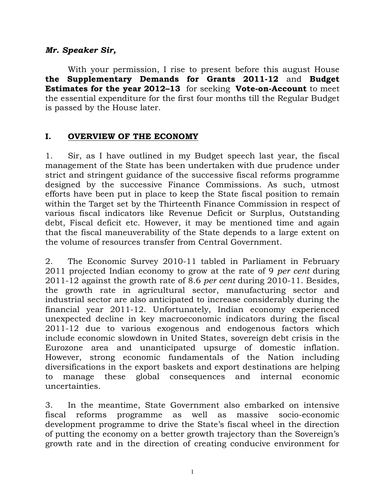#### Mr. Speaker Sir,

 With your permission, I rise to present before this august House the Supplementary Demands for Grants 2011-12 and Budget Estimates for the year 2012–13 for seeking Vote-on-Account to meet the essential expenditure for the first four months till the Regular Budget is passed by the House later.

## I. OVERVIEW OF THE ECONOMY

1. Sir, as I have outlined in my Budget speech last year, the fiscal management of the State has been undertaken with due prudence under strict and stringent guidance of the successive fiscal reforms programme designed by the successive Finance Commissions. As such, utmost efforts have been put in place to keep the State fiscal position to remain within the Target set by the Thirteenth Finance Commission in respect of various fiscal indicators like Revenue Deficit or Surplus, Outstanding debt, Fiscal deficit etc. However, it may be mentioned time and again that the fiscal maneuverability of the State depends to a large extent on the volume of resources transfer from Central Government.

2. The Economic Survey 2010-11 tabled in Parliament in February 2011 projected Indian economy to grow at the rate of 9 per cent during 2011-12 against the growth rate of 8.6 per cent during 2010-11. Besides, the growth rate in agricultural sector, manufacturing sector and industrial sector are also anticipated to increase considerably during the financial year 2011-12. Unfortunately, Indian economy experienced unexpected decline in key macroeconomic indicators during the fiscal 2011-12 due to various exogenous and endogenous factors which include economic slowdown in United States, sovereign debt crisis in the Eurozone area and unanticipated upsurge of domestic inflation. However, strong economic fundamentals of the Nation including diversifications in the export baskets and export destinations are helping to manage these global consequences and internal economic uncertainties.

3. In the meantime, State Government also embarked on intensive fiscal reforms programme as well as massive socio-economic development programme to drive the State's fiscal wheel in the direction of putting the economy on a better growth trajectory than the Sovereign's growth rate and in the direction of creating conducive environment for

1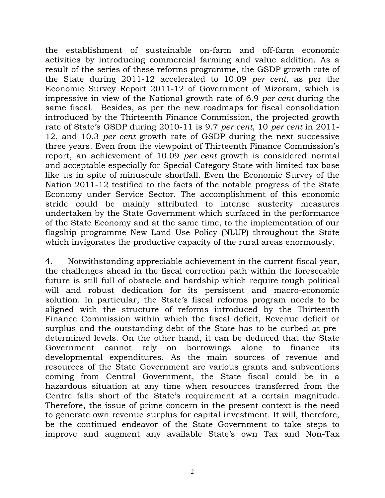the establishment of sustainable on-farm and off-farm economic activities by introducing commercial farming and value addition. As a result of the series of these reforms programme, the GSDP growth rate of the State during 2011-12 accelerated to 10.09 per cent, as per the Economic Survey Report 2011-12 of Government of Mizoram, which is impressive in view of the National growth rate of 6.9 per cent during the same fiscal. Besides, as per the new roadmaps for fiscal consolidation introduced by the Thirteenth Finance Commission, the projected growth rate of State's GSDP during 2010-11 is 9.7 per cent, 10 per cent in 2011-12, and 10.3 per cent growth rate of GSDP during the next successive three years. Even from the viewpoint of Thirteenth Finance Commission's report, an achievement of 10.09 per cent growth is considered normal and acceptable especially for Special Category State with limited tax base like us in spite of minuscule shortfall. Even the Economic Survey of the Nation 2011-12 testified to the facts of the notable progress of the State Economy under Service Sector. The accomplishment of this economic stride could be mainly attributed to intense austerity measures undertaken by the State Government which surfaced in the performance of the State Economy and at the same time, to the implementation of our flagship programme New Land Use Policy (NLUP) throughout the State which invigorates the productive capacity of the rural areas enormously.

4. Notwithstanding appreciable achievement in the current fiscal year, the challenges ahead in the fiscal correction path within the foreseeable future is still full of obstacle and hardship which require tough political will and robust dedication for its persistent and macro-economic solution. In particular, the State's fiscal reforms program needs to be aligned with the structure of reforms introduced by the Thirteenth Finance Commission within which the fiscal deficit, Revenue deficit or surplus and the outstanding debt of the State has to be curbed at predetermined levels. On the other hand, it can be deduced that the State Government cannot rely on borrowings alone to finance its developmental expenditures. As the main sources of revenue and resources of the State Government are various grants and subventions coming from Central Government, the State fiscal could be in a hazardous situation at any time when resources transferred from the Centre falls short of the State's requirement at a certain magnitude. Therefore, the issue of prime concern in the present context is the need to generate own revenue surplus for capital investment. It will, therefore, be the continued endeavor of the State Government to take steps to improve and augment any available State's own Tax and Non-Tax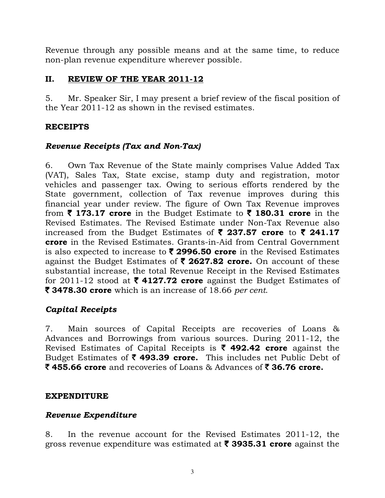Revenue through any possible means and at the same time, to reduce non-plan revenue expenditure wherever possible.

### II. REVIEW OF THE YEAR 2011-12

5. Mr. Speaker Sir, I may present a brief review of the fiscal position of the Year 2011-12 as shown in the revised estimates.

## RECEIPTS

## Revenue Receipts (Tax and Non-Tax)

6. Own Tax Revenue of the State mainly comprises Value Added Tax (VAT), Sales Tax, State excise, stamp duty and registration, motor vehicles and passenger tax. Owing to serious efforts rendered by the State government, collection of Tax revenue improves during this financial year under review. The figure of Own Tax Revenue improves from  $\bar{\tau}$  173.17 crore in the Budget Estimate to  $\bar{\tau}$  180.31 crore in the Revised Estimates. The Revised Estimate under Non-Tax Revenue also increased from the Budget Estimates of  $\bar{\zeta}$  237.57 crore to  $\bar{\zeta}$  241.17 crore in the Revised Estimates. Grants-in-Aid from Central Government is also expected to increase to  $\bar{\tau}$  2996.50 crore in the Revised Estimates against the Budget Estimates of  $\bar{\zeta}$  2627.82 crore. On account of these substantial increase, the total Revenue Receipt in the Revised Estimates for 2011-12 stood at  $\bar{\tau}$  4127.72 crore against the Budget Estimates of ₹ 3478.30 crore which is an increase of 18.66 per cent.

# Capital Receipts

7. Main sources of Capital Receipts are recoveries of Loans & Advances and Borrowings from various sources. During 2011-12, the Revised Estimates of Capital Receipts is  $\bar{\tau}$  492.42 crore against the Budget Estimates of  $\overline{\zeta}$  493.39 crore. This includes net Public Debt of  $\bar{\mathbf{z}}$  455.66 crore and recoveries of Loans & Advances of  $\bar{\mathbf{z}}$  36.76 crore.

### EXPENDITURE

# Revenue Expenditure

8. In the revenue account for the Revised Estimates 2011-12, the gross revenue expenditure was estimated at  $\bar{\tau}$  3935.31 crore against the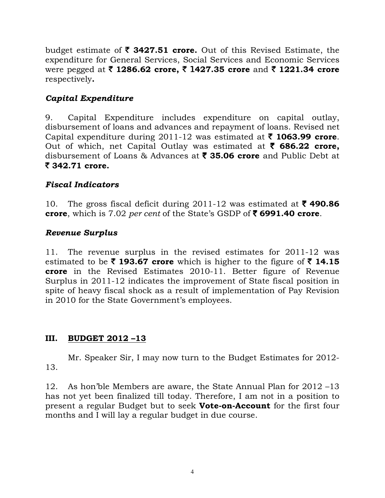budget estimate of  $\bar{\tau}$  3427.51 crore. Out of this Revised Estimate, the expenditure for General Services, Social Services and Economic Services were pegged at  $\bar{\tau}$  1286.62 crore,  $\bar{\tau}$  1427.35 crore and  $\bar{\tau}$  1221.34 crore respectively.

## Capital Expenditure

9. Capital Expenditure includes expenditure on capital outlay, disbursement of loans and advances and repayment of loans. Revised net Capital expenditure during 2011-12 was estimated at  $\bar{\tau}$  1063.99 crore. Out of which, net Capital Outlay was estimated at  $\bar{\tau}$  686.22 crore, disbursement of Loans & Advances at  $\bar{\tau}$  35.06 crore and Public Debt at  $\bar{z}$  342.71 crore.

### Fiscal Indicators

10. The gross fiscal deficit during 2011-12 was estimated at  $\bar{\tau}$  490.86 crore, which is 7.02 per cent of the State's GSDP of  $\bar{\tau}$  6991.40 crore.

## Revenue Surplus

11. The revenue surplus in the revised estimates for 2011-12 was estimated to be  $\bar{\tau}$  193.67 crore which is higher to the figure of  $\bar{\tau}$  14.15 crore in the Revised Estimates 2010-11. Better figure of Revenue Surplus in 2011-12 indicates the improvement of State fiscal position in spite of heavy fiscal shock as a result of implementation of Pay Revision in 2010 for the State Government's employees.

### III. BUDGET 2012 –13

 Mr. Speaker Sir, I may now turn to the Budget Estimates for 2012- 13.

12. As hon'ble Members are aware, the State Annual Plan for 2012 –13 has not yet been finalized till today. Therefore, I am not in a position to present a regular Budget but to seek Vote-on-Account for the first four months and I will lay a regular budget in due course.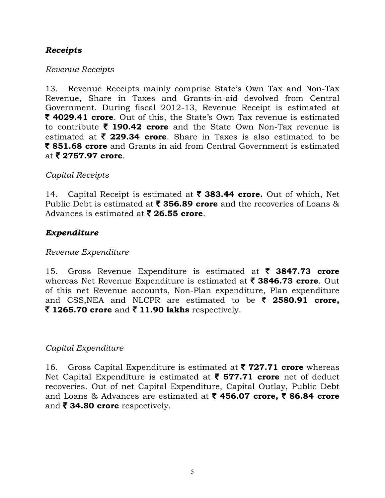# Receipts

### Revenue Receipts

13. Revenue Receipts mainly comprise State's Own Tax and Non-Tax Revenue, Share in Taxes and Grants-in-aid devolved from Central Government. During fiscal 2012-13, Revenue Receipt is estimated at  $\bar{\tau}$  **4029.41 crore.** Out of this, the State's Own Tax revenue is estimated to contribute  $\bar{\tau}$  190.42 crore and the State Own Non-Tax revenue is estimated at  $\bar{\zeta}$  229.34 crore. Share in Taxes is also estimated to be  $\bar{\tau}$  **851.68 crore** and Grants in aid from Central Government is estimated at  $\bar{\tau}$  2757.97 crore.

### Capital Receipts

14. Capital Receipt is estimated at  $\bar{\tau}$  383.44 crore. Out of which, Net Public Debt is estimated at  $\bar{\tau}$  356.89 crore and the recoveries of Loans & Advances is estimated at  $\bar{\tau}$  26.55 crore.

## Expenditure

### Revenue Expenditure

15. Gross Revenue Expenditure is estimated at  $\bar{\tau}$  3847.73 crore whereas Net Revenue Expenditure is estimated at  $\bar{\tau}$  3846.73 crore. Out of this net Revenue accounts, Non-Plan expenditure, Plan expenditure and CSS, NEA and NLCPR are estimated to be  $\bar{\tau}$  2580.91 crore, ₹ 1265.70 crore and ₹ 11.90 lakhs respectively.

### Capital Expenditure

16. Gross Capital Expenditure is estimated at  $\bar{\tau}$  727.71 crore whereas Net Capital Expenditure is estimated at  $\bar{\tau}$  577.71 crore net of deduct recoveries. Out of net Capital Expenditure, Capital Outlay, Public Debt and Loans & Advances are estimated at  $\bar{\zeta}$  456.07 crore,  $\bar{\zeta}$  86.84 crore and  $\bar{\tau}$  34.80 crore respectively.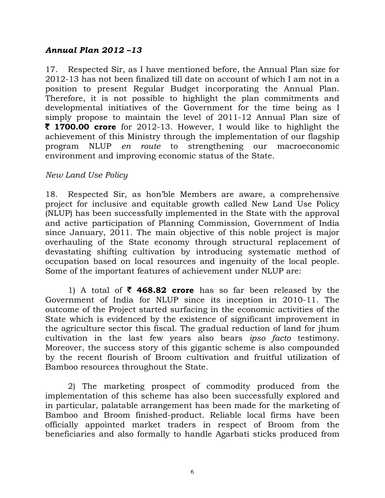#### Annual Plan 2012 –13

17. Respected Sir, as I have mentioned before, the Annual Plan size for 2012-13 has not been finalized till date on account of which I am not in a position to present Regular Budget incorporating the Annual Plan. Therefore, it is not possible to highlight the plan commitments and developmental initiatives of the Government for the time being as I simply propose to maintain the level of 2011-12 Annual Plan size of  $\bar{\tau}$  **1700.00 crore** for 2012-13. However, I would like to highlight the achievement of this Ministry through the implementation of our flagship program NLUP en route to strengthening our macroeconomic environment and improving economic status of the State.

#### New Land Use Policy

18. Respected Sir, as hon'ble Members are aware, a comprehensive project for inclusive and equitable growth called New Land Use Policy (NLUP) has been successfully implemented in the State with the approval and active participation of Planning Commission, Government of India since January, 2011. The main objective of this noble project is major overhauling of the State economy through structural replacement of devastating shifting cultivation by introducing systematic method of occupation based on local resources and ingenuity of the local people. Some of the important features of achievement under NLUP are:

1) A total of  $\bar{\tau}$  468.82 crore has so far been released by the Government of India for NLUP since its inception in 2010-11. The outcome of the Project started surfacing in the economic activities of the State which is evidenced by the existence of significant improvement in the agriculture sector this fiscal. The gradual reduction of land for jhum cultivation in the last few years also bears ipso facto testimony. Moreover, the success story of this gigantic scheme is also compounded by the recent flourish of Broom cultivation and fruitful utilization of Bamboo resources throughout the State.

 2) The marketing prospect of commodity produced from the implementation of this scheme has also been successfully explored and in particular, palatable arrangement has been made for the marketing of Bamboo and Broom finished-product. Reliable local firms have been officially appointed market traders in respect of Broom from the beneficiaries and also formally to handle Agarbati sticks produced from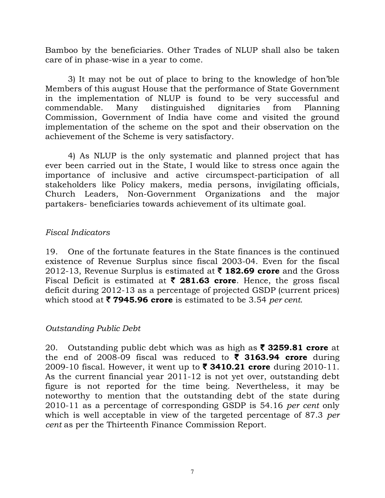Bamboo by the beneficiaries. Other Trades of NLUP shall also be taken care of in phase-wise in a year to come.

 3) It may not be out of place to bring to the knowledge of hon'ble Members of this august House that the performance of State Government in the implementation of NLUP is found to be very successful and commendable. Many distinguished dignitaries from Planning Commission, Government of India have come and visited the ground implementation of the scheme on the spot and their observation on the achievement of the Scheme is very satisfactory.

 4) As NLUP is the only systematic and planned project that has ever been carried out in the State, I would like to stress once again the importance of inclusive and active circumspect-participation of all stakeholders like Policy makers, media persons, invigilating officials, Church Leaders, Non-Government Organizations and the major partakers- beneficiaries towards achievement of its ultimate goal.

## Fiscal Indicators

19. One of the fortunate features in the State finances is the continued existence of Revenue Surplus since fiscal 2003-04. Even for the fiscal 2012-13, Revenue Surplus is estimated at  $\bar{\tau}$  182.69 crore and the Gross Fiscal Deficit is estimated at  $\bar{\tau}$  281.63 crore. Hence, the gross fiscal deficit during 2012-13 as a percentage of projected GSDP (current prices) which stood at  $\bar{\tau}$  7945.96 crore is estimated to be 3.54 per cent.

### Outstanding Public Debt

20. Outstanding public debt which was as high as  $\bar{\tau}$  3259.81 crore at the end of 2008-09 fiscal was reduced to  $\bar{\tau}$  3163.94 crore during 2009-10 fiscal. However, it went up to  $\bar{\phantom{1}}$  3410.21 crore during 2010-11. As the current financial year 2011-12 is not yet over, outstanding debt figure is not reported for the time being. Nevertheless, it may be noteworthy to mention that the outstanding debt of the state during 2010-11 as a percentage of corresponding GSDP is 54.16 per cent only which is well acceptable in view of the targeted percentage of 87.3 per cent as per the Thirteenth Finance Commission Report.